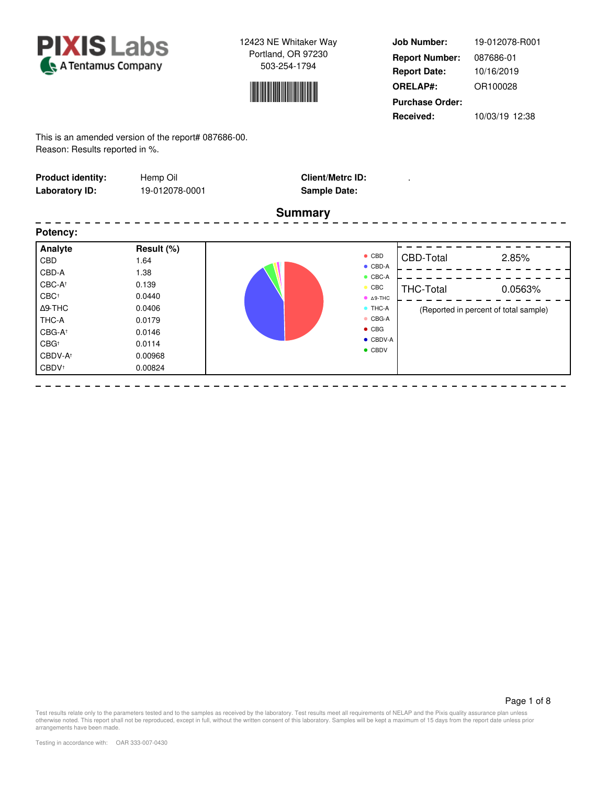



**Job Number: Report Date: ORELAP#:** 10/16/2019 OR100028 **Received:** 10/03/19 12:38 **Purchase Order:** 19-012078-R001 **Report Number:** 087686-01

This is an amended version of the report# 087686-00. Reason: Results reported in %.

| <b>Product identity:</b><br><b>Laboratory ID:</b>                                                                                                                             | Hemp Oil<br>19-012078-0001                                                                                  | <b>Client/Metrc ID:</b><br><b>Sample Date:</b>                                                                                                                                                |                                      |                                                           |
|-------------------------------------------------------------------------------------------------------------------------------------------------------------------------------|-------------------------------------------------------------------------------------------------------------|-----------------------------------------------------------------------------------------------------------------------------------------------------------------------------------------------|--------------------------------------|-----------------------------------------------------------|
|                                                                                                                                                                               |                                                                                                             | <b>Summary</b>                                                                                                                                                                                |                                      |                                                           |
| Potency:                                                                                                                                                                      |                                                                                                             |                                                                                                                                                                                               |                                      |                                                           |
| Analyte<br><b>CBD</b><br>CBD-A<br>CBC-At<br>CBC <sup>+</sup><br>$\Delta$ 9-THC<br>THC-A<br>CBG-A <sup>+</sup><br>CBG <sup>+</sup><br>CBDV-A <sup>+</sup><br>CBDV <sup>+</sup> | Result (%)<br>1.64<br>1.38<br>0.139<br>0.0440<br>0.0406<br>0.0179<br>0.0146<br>0.0114<br>0.00968<br>0.00824 | $\bullet$ CBD<br>$\bullet$ CBD-A<br>$\bullet$ CBC-A<br>$\bullet$ CBC<br>$\bullet$ $\Delta$ 9-THC<br>$\bullet$ THC-A<br>$\bullet$ CBG-A<br>$\bullet$ CBG<br>$\bullet$ CBDV-A<br>$\bullet$ CBDV | <b>CBD-Total</b><br><b>THC-Total</b> | 2.85%<br>0.0563%<br>(Reported in percent of total sample) |

Page 1 of 8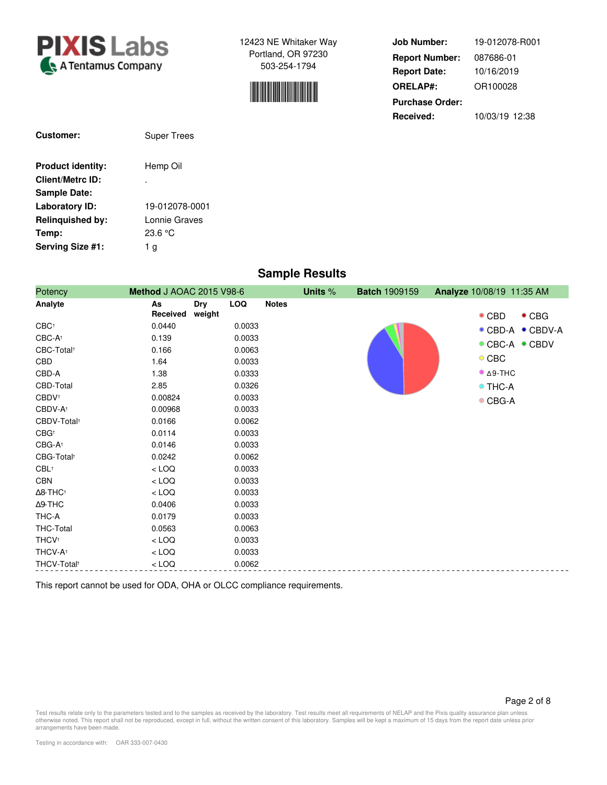



| <b>Job Number:</b>     | 19-012078-R001 |
|------------------------|----------------|
| <b>Report Number:</b>  | 087686-01      |
| <b>Report Date:</b>    | 10/16/2019     |
| <b>ORELAP#:</b>        | OR100028       |
| <b>Purchase Order:</b> |                |
| Received:              | 10/03/19 12:38 |

| <b>Customer:</b>         | <b>Super Trees</b> |
|--------------------------|--------------------|
| <b>Product identity:</b> | Hemp Oil           |
| <b>Client/Metrc ID:</b>  |                    |
| <b>Sample Date:</b>      |                    |
| Laboratory ID:           | 19-012078-0001     |
| <b>Relinguished by:</b>  | Lonnie Graves      |
| Temp:                    | 23.6 °C            |
| Serving Size #1:         | a                  |

# **Sample Results**

| Potency                     | Method J AOAC 2015 V98-6 |        |            |              | Units % | <b>Batch 1909159</b> | Analyze 10/08/19 11:35 AM      |
|-----------------------------|--------------------------|--------|------------|--------------|---------|----------------------|--------------------------------|
| Analyte                     | As                       | Dry    | <b>LOQ</b> | <b>Notes</b> |         |                      |                                |
|                             | Received                 | weight |            |              |         |                      | $\bullet$ CBG<br>$\bullet$ CBD |
| $CBC^+$                     | 0.0440                   |        | 0.0033     |              |         |                      | ● CBD-A ● CBDV-A               |
| $CBC-A†$                    | 0.139                    |        | 0.0033     |              |         |                      | ● CBC-A ● CBDV                 |
| CBC-Total <sup>+</sup>      | 0.166                    |        | 0.0063     |              |         |                      |                                |
| CBD                         | 1.64                     |        | 0.0033     |              |         |                      | $\circ$ CBC                    |
| CBD-A                       | 1.38                     |        | 0.0333     |              |         |                      | $^{\bullet}$ $\Delta$ 9-THC    |
| CBD-Total                   | 2.85                     |        | 0.0326     |              |         |                      | <b>O</b> THC-A                 |
| CBDV <sup>+</sup>           | 0.00824                  |        | 0.0033     |              |         |                      | $\bullet$ CBG-A                |
| CBDV-A <sup>+</sup>         | 0.00968                  |        | 0.0033     |              |         |                      |                                |
| CBDV-Total <sup>+</sup>     | 0.0166                   |        | 0.0062     |              |         |                      |                                |
| $CBG^+$                     | 0.0114                   |        | 0.0033     |              |         |                      |                                |
| CBG-A <sup>+</sup>          | 0.0146                   |        | 0.0033     |              |         |                      |                                |
| CBG-Total <sup>+</sup>      | 0.0242                   |        | 0.0062     |              |         |                      |                                |
| CBL <sup>†</sup>            | $<$ LOQ                  |        | 0.0033     |              |         |                      |                                |
| CBN                         | $<$ LOQ                  |        | 0.0033     |              |         |                      |                                |
| $\Delta$ 8-THC <sup>+</sup> | $<$ LOQ                  |        | 0.0033     |              |         |                      |                                |
| $\Delta$ 9-THC              | 0.0406                   |        | 0.0033     |              |         |                      |                                |
| THC-A                       | 0.0179                   |        | 0.0033     |              |         |                      |                                |
| THC-Total                   | 0.0563                   |        | 0.0063     |              |         |                      |                                |
| <b>THCV</b> <sup>+</sup>    | $<$ LOQ                  |        | 0.0033     |              |         |                      |                                |
| THCV-A <sup>+</sup>         | $<$ LOQ                  |        | 0.0033     |              |         |                      |                                |
| THCV-Total <sup>+</sup>     | $<$ LOQ                  |        | 0.0062     |              |         |                      |                                |

This report cannot be used for ODA, OHA or OLCC compliance requirements.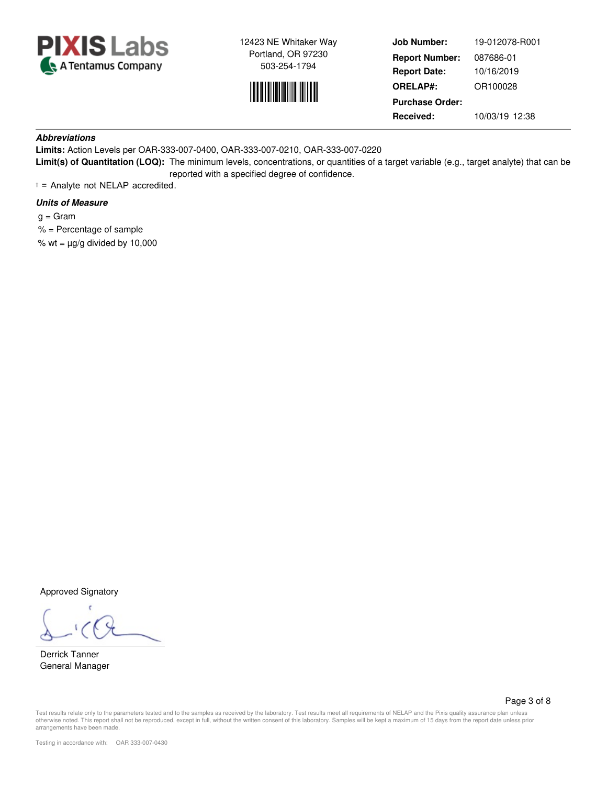



**Job Number: Report Date: ORELAP#:** 10/16/2019 OR100028 **Received:** 10/03/19 12:38 **Purchase Order:** 19-012078-R001 **Report Number:** 087686-01

## **Abbreviations**

**Limits:** Action Levels per OAR-333-007-0400, OAR-333-007-0210, OAR-333-007-0220 **Limit(s) of Quantitation (LOQ):** The minimum levels, concentrations, or quantities of a target variable (e.g., target analyte) that can be reported with a specified degree of confidence.

† = Analyte not NELAP accredited.

## **Units of Measure**

- $g = \text{Gram}$
- % = Percentage of sample

% wt =  $\mu$ g/g divided by 10,000

Approved Signatory

Derrick Tanner General Manager

Page 3 of 8

Test results relate only to the parameters tested and to the samples as received by the laboratory. Test results meet all requirements of NELAP and the Pixis quality assurance plan unless otherwise noted. This report shall not be reproduced, except in full, without the written consent of this laboratory. Samples will be kept a maximum of 15 days from the report date unless prior arrangements have been made.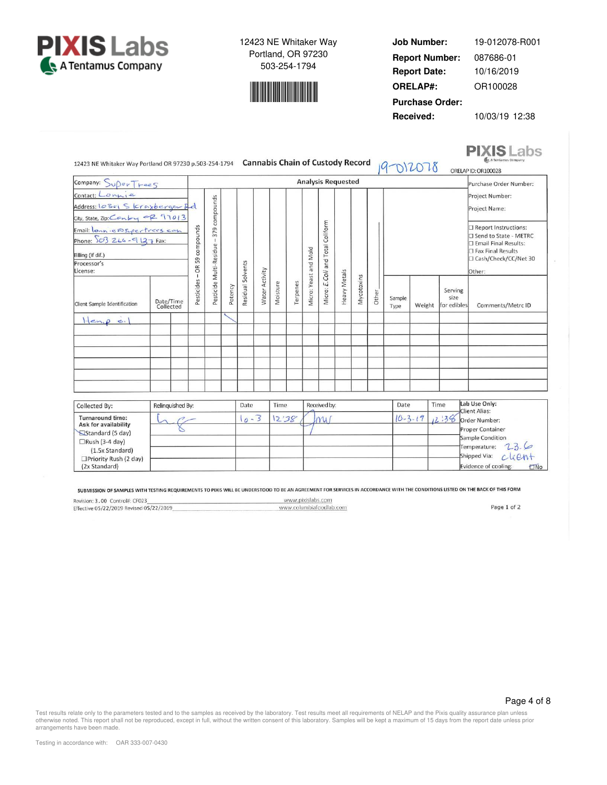



**Job Number: Report Date: ORELAP#:** 10/16/2019 OR100028 **Received:** 10/03/19 12:38 **Purchase Order:** 19-012078-R001 **Report Number:** 087686-01

**PIXIS** Labs

| 12423 NE Whitaker Way Portland OR 97230 p.503-254-1794                                                                                                                                               |  |                        |                                            |                                         |         |                   |                |          |          |                                                              |              | <b>Cannabis Chain of Custody Record</b> |       | 19-012078      |               |                                | A Tentamus Company<br>ORELAP ID: OR100028                                                                |
|------------------------------------------------------------------------------------------------------------------------------------------------------------------------------------------------------|--|------------------------|--------------------------------------------|-----------------------------------------|---------|-------------------|----------------|----------|----------|--------------------------------------------------------------|--------------|-----------------------------------------|-------|----------------|---------------|--------------------------------|----------------------------------------------------------------------------------------------------------|
| Company: SuperTrees                                                                                                                                                                                  |  |                        |                                            |                                         |         |                   |                |          |          | <b>Analysis Requested</b>                                    |              |                                         |       |                |               |                                | Purchase Order Number:                                                                                   |
| Contact: Lonnie<br>Address: 10301 S Krayberger Bd<br>City, State, Zip: Conby OR 97013<br>Email: lonnie asycritecs.com<br>Phone: $503266 - 9137$ Fax:<br>Billing (if dif.)<br>Processor's<br>License: |  |                        | compounds<br>59<br>$\frac{\alpha}{\alpha}$ | 379 compounds                           |         |                   |                |          |          | Coliform<br>Wicro: E.Coli and Total<br>Micro: Yeast and Mold |              |                                         |       |                |               |                                | Project Number:<br>Project Name:<br>Report Instructions:                                                 |
|                                                                                                                                                                                                      |  |                        |                                            | $\mathbf{1}$<br>Pesticide Multi-Residue |         |                   |                |          |          |                                                              |              |                                         |       |                |               |                                | □ Send to State - METRC<br>Email Final Results:<br>Fax Final Results<br>□ Cash/Check/CC/Net 30<br>Other: |
| Client Sample Identification                                                                                                                                                                         |  | Date/Time<br>Collected | Pesticides                                 |                                         | Potency | Residual Solvents | Water Activity | Moisture | Terpenes |                                                              | Heavy Metals | Mycotoxins                              | Other | Sample<br>Type | Weight        | Serving<br>size<br>for edibles | Comments/Metrc ID                                                                                        |
| $H_{\epsilon n,\rho,\sigma}$                                                                                                                                                                         |  |                        |                                            |                                         |         |                   |                |          |          |                                                              |              |                                         |       |                |               |                                |                                                                                                          |
|                                                                                                                                                                                                      |  |                        |                                            |                                         |         |                   |                |          |          |                                                              |              |                                         |       |                |               |                                |                                                                                                          |
|                                                                                                                                                                                                      |  |                        |                                            |                                         |         |                   |                |          |          |                                                              |              |                                         |       |                |               |                                |                                                                                                          |
| Collected By:                                                                                                                                                                                        |  | Relinquished By:       |                                            |                                         |         | Date              |                | Time     |          | Received by:                                                 |              |                                         |       | Date           |               | Time                           | Lab Use Only:<br><b>Client Alias:</b>                                                                    |
| <b>Turnaround time:</b><br>Ask for availability<br>Standard (5 day)<br>$\Box$ Rush (3-4 day)<br>(1.5x Standard)                                                                                      |  |                        |                                            |                                         |         | $10 - 3$          |                | 12'38    |          | $m_1$                                                        |              |                                         |       |                | $10 - 3 - 19$ | 12:36                          | Order Number:<br>Proper Container<br>Sample Condition<br>23.6<br>Temperature:<br>chent<br>Shipped Via:   |
| □Priority Rush (2 day)<br>$(2x$ Standard)                                                                                                                                                            |  |                        |                                            |                                         |         |                   |                |          |          |                                                              |              |                                         |       |                |               |                                | Evidence of cooling: FMo                                                                                 |

SUBMISSION OF SAMPLES WITH TESTING REQUIREMENTS TO PIXIS WILL BE UNDERSTOOD TO BE AN AGREEMENT FOR SERVICES IN ACCORDANCE WITH THE CONDITIONS LISTED ON THE BACK OF THIS FORM

Revision: 3.00 Control#: CF023 www.pixislabs.com www.columbiafoodlab.com Effective 05/22/2019 Revised 05/22/2019

Page 1 of 2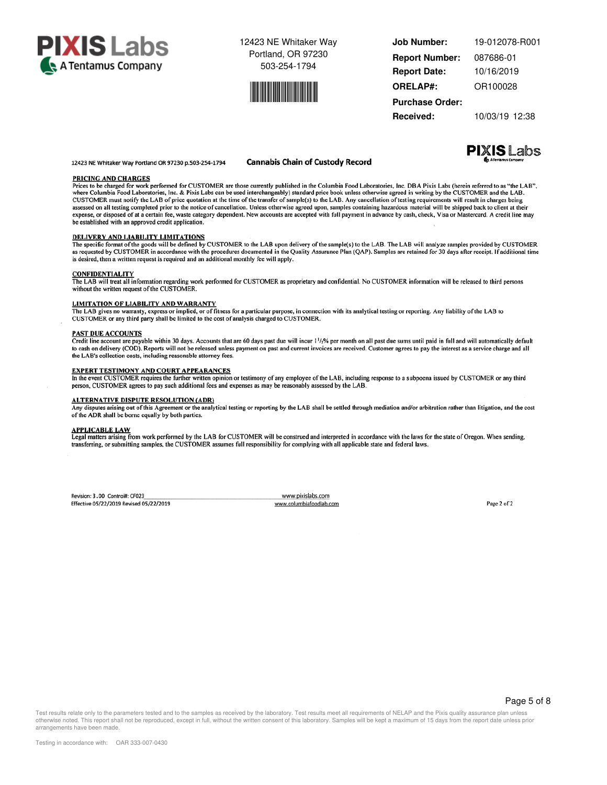



**Job Number: Report Date: ORELAP#:** 10/16/2019 OR100028 **Received:** 10/03/19 12:38 **Purchase Order:** 19-012078-R001 **Report Number:** 087686-01

#### 12423 NE Whitaker Way Portland OR 97230 p.503-254-1794

#### **Cannabis Chain of Custody Record**



Prices to be charged for work performed for CUSTOMER are those currently published in the Columbia Food Laboratories, Inc. DBA Pixis Labs (herein referred to as "the LAB", where Columbia Food Laboratories, Inc. & Pixis Labs can be used interchangeably) standard price book unless otherwise agreed in writing by the CUSTOMER and the LAB. CUSTOMER must notify the LAB of price quotation at the time of the transfer of sample(s) to the LAB. Any cancellation of testing requirements will result in charges being expense of all testing completed prior to the notice of cancellation. Unless otherwise agreed upon, samples containing hazardous material will be shipped back to client at their<br>expense, or disposed of at a certain fee, wa be established with an approved credit application.

#### **DELIVERY AND LIABILITY LIMITATIONS**

The specific format of the goods will be defined by CUSTOMER to the LAB upon delivery of the sample(s) to the LAB. The LAB will analyze samples provided by CUSTOMER as requested by CUSTOMER as requested by CUSTOMER as requ is desired, then a written request is required and an additional monthly fee will apply.

#### **CONFIDENTIALITY**

**PRICING AND CHARGES** 

The LAB will treat all information regarding work performed for CUSTOMER as proprietary and confidential. No CUSTOMER information will be released to third persons without the written request of the CUSTOMER.

#### **LIMITATION OF LIABILITY AND WARRANTY**

The LAB gives no warranty, express or implied, or of fitness for a particular purpose, in connection with its analytical testing or reporting. Any liability of the LAB to CUSTOMER or any third party shall be limited to the cost of analysis charged to CUSTOMER.

#### **PAST DUE ACCOUNTS**

Credit line account are payable within 30 days. Accounts that are 60 days past due will incur  $1\frac{1}{2}\%$  per month on all past due sums until paid in full and will automatically default to cash on delivery (COD). Reports will not be released unless payment on past and current invoices are received. Customer agrees to pay the interest as a service charge and all the LAB's collection costs, including reasonable attorney fees.

#### **EXPERT TESTIMONY AND COURT APPEARANCES**

In the event CUSTOMER requires the further written opinion or testimony of any employee of the LAB, including response to a subpoena issued by CUSTOMER or any third person, CUSTOMER agrees to pay such additional fees and expenses as may be reasonably assessed by the LAB.

#### **ALTERNATIVE DISPUTE RESOLUTION (ADR)**

Any disputes arising out of this Agreement or the analytical testing or reporting by the LAB shall be settled through mediation and/or arbitration rather than litigation, and the cost of the ADR shall be borne equally by both parties.

APPLICABLE LAW<br>Legal matters arising from work performed by the LAB for CUSTOMER will be construed and interpreted in accordance with the laws for the state of Oregon. When sending, transferring, or submitting samples, the CUSTOMER assumes full responsibility for complying with all applicable state and federal laws.

Revision: 3.00 Control#: CF023 Effective 05/22/2019 Revised 05/22/2019

www.pixislabs.com www.columbiafoodlab.com

Page 2 of 2

Test results relate only to the parameters tested and to the samples as received by the laboratory. Test results meet all requirements of NELAP and the Pixis quality assurance plan unless otherwise noted. This report shall not be reproduced, except in full, without the written consent of this laboratory. Samples will be kept a maximum of 15 days from the report date unless prior arrangements have been made.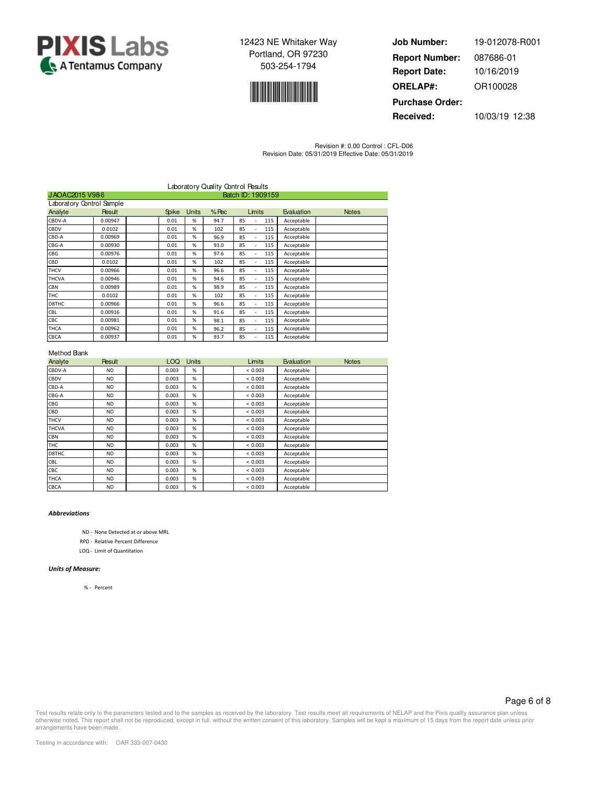



**Job Number: Report Date: ORELAP#:** 10/16/2019 OR100028 **Received:** 10/03/19 12:38 **Purchase Order:** 19-012078-R001 **Report Number:** 087686-01

Revision #: 0.00 Control : CFL-D06 Revision Date: 05/31/2019 Effective Date: 05/31/2019

|                           |               |              |              | Laboratory Quality Control Pesults |                   |        |     |            |              |
|---------------------------|---------------|--------------|--------------|------------------------------------|-------------------|--------|-----|------------|--------------|
| JAOAC2015 V986            |               |              |              |                                    | Batch ID: 1909159 |        |     |            |              |
| Laboratory Control Sample |               |              |              |                                    |                   |        |     |            |              |
| Analyte                   | <b>Result</b> | <b>Spike</b> | <b>Units</b> | $%$ Rec                            |                   | Limits |     | Evaluation | <b>Notes</b> |
| CBDV-A                    | 0.00947       | 0.01         | %            | 94.7                               | 85                |        | 115 | Acceptable |              |
| <b>CBDV</b>               | 0.0102        | 0.01         | %            | 102                                | 85                |        | 115 | Acceptable |              |
| CBD-A                     | 0.00969       | 0.01         | %            | 96.9                               | 85                | ÷.     | 115 | Acceptable |              |
| CBG-A                     | 0.00930       | 0.01         | %            | 93.0                               | 85                | ٠      | 115 | Acceptable |              |
| <b>CBG</b>                | 0.00976       | 0.01         | %            | 97.6                               | 85                |        | 115 | Acceptable |              |
| CBD                       | 0.0102        | 0.01         | %            | 102                                | 85                |        | 115 | Acceptable |              |
| <b>THCV</b>               | 0.00966       | 0.01         | %            | 96.6                               | 85                |        | 115 | Acceptable |              |
| <b>THCVA</b>              | 0.00946       | 0.01         | %            | 94.6                               | 85                |        | 115 | Acceptable |              |
| <b>CBN</b>                | 0.00989       | 0.01         | %            | 98.9                               | 85                |        | 115 | Acceptable |              |
| THC                       | 0.0102        | 0.01         | %            | 102                                | 85                |        | 115 | Acceptable |              |
| D8THC                     | 0.00966       | 0.01         | %            | 96.6                               | 85                |        | 115 | Acceptable |              |
| CBL                       | 0.00916       | 0.01         | %            | 91.6                               | 85                | ٠      | 115 | Acceptable |              |
| <b>CBC</b>                | 0.00981       | 0.01         | %            | 98.1                               | 85                | ÷.     | 115 | Acceptable |              |
| <b>THCA</b>               | 0.00962       | 0.01         | %            | 96.2                               | 85                |        | 115 | Acceptable |              |
| CBCA                      | 0.00937       | 0.01         | %            | 93.7                               | 85                |        | 115 | Acceptable |              |

## Method Bank

| Analyte      | <b>Result</b> | LOQ.  | Units | Limits  | Evaluation | <b>Notes</b> |
|--------------|---------------|-------|-------|---------|------------|--------------|
| CBDV-A       | <b>ND</b>     | 0.003 | %     | < 0.003 | Acceptable |              |
| CBDV         | <b>ND</b>     | 0.003 | %     | < 0.003 | Acceptable |              |
| CBD-A        | <b>ND</b>     | 0.003 | %     | < 0.003 | Acceptable |              |
| CBG-A        | <b>ND</b>     | 0.003 | %     | < 0.003 | Acceptable |              |
| CBG          | <b>ND</b>     | 0.003 | %     | < 0.003 | Acceptable |              |
| CBD          | <b>ND</b>     | 0.003 | %     | < 0.003 | Acceptable |              |
| <b>THCV</b>  | <b>ND</b>     | 0.003 | %     | < 0.003 | Acceptable |              |
| <b>THCVA</b> | <b>ND</b>     | 0.003 | %     | < 0.003 | Acceptable |              |
| <b>CBN</b>   | <b>ND</b>     | 0.003 | %     | < 0.003 | Acceptable |              |
| THC          | <b>ND</b>     | 0.003 | %     | < 0.003 | Acceptable |              |
| D8THC        | <b>ND</b>     | 0.003 | %     | < 0.003 | Acceptable |              |
| CBL          | <b>ND</b>     | 0.003 | %     | < 0.003 | Acceptable |              |
| CBC          | <b>ND</b>     | 0.003 | %     | < 0.003 | Acceptable |              |
| <b>THCA</b>  | <b>ND</b>     | 0.003 | %     | < 0.003 | Acceptable |              |
| <b>CBCA</b>  | <b>ND</b>     | 0.003 | %     | < 0.003 | Acceptable |              |

## *Abbreviations*

ND - None Detected at or above MRL

RPD - Relative Percent Difference

LOQ - Limit of Quantitation

#### *Units of Measure:*

% - Percent

## Page 6 of 8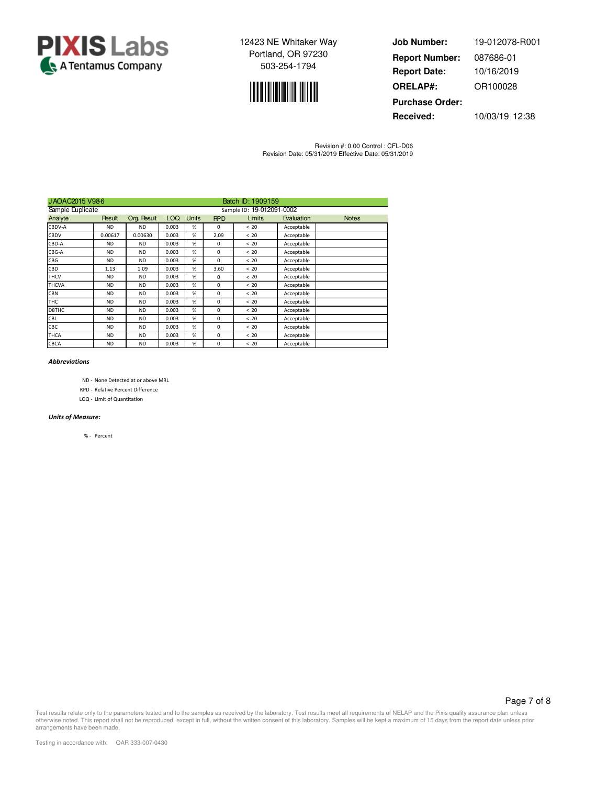



**Job Number: Report Date: ORELAP#:** 10/16/2019 OR100028 **Received:** 10/03/19 12:38 **Purchase Order:** 19-012078-R001 **Report Number:** 087686-01

Revision #: 0.00 Control : CFL-D06 Revision Date: 05/31/2019 Effective Date: 05/31/2019

| JAOAC2015 V986   |               |             |            |                           |            | Batch ID: 1909159 |            |              |  |  |
|------------------|---------------|-------------|------------|---------------------------|------------|-------------------|------------|--------------|--|--|
| Sample Duplicate |               |             |            | Sample ID: 19-012091-0002 |            |                   |            |              |  |  |
| Analyte          | <b>Result</b> | Org. Result | <b>LOQ</b> | <b>Units</b>              | <b>RPD</b> | Limits            | Evaluation | <b>Notes</b> |  |  |
| CBDV-A           | ND.           | <b>ND</b>   | 0.003      | %                         | $\Omega$   | < 20              | Acceptable |              |  |  |
| CBDV             | 0.00617       | 0.00630     | 0.003      | %                         | 2.09       | <20               | Acceptable |              |  |  |
| CBD-A            | <b>ND</b>     | <b>ND</b>   | 0.003      | %                         | 0          | < 20              | Acceptable |              |  |  |
| CBG-A            | <b>ND</b>     | <b>ND</b>   | 0.003      | %                         | 0          | < 20              | Acceptable |              |  |  |
| CBG              | <b>ND</b>     | <b>ND</b>   | 0.003      | %                         | 0          | < 20              | Acceptable |              |  |  |
| CBD              | 1.13          | 1.09        | 0.003      | %                         | 3.60       | < 20              | Acceptable |              |  |  |
| <b>THCV</b>      | <b>ND</b>     | <b>ND</b>   | 0.003      | %                         | 0          | < 20              | Acceptable |              |  |  |
| <b>THCVA</b>     | <b>ND</b>     | <b>ND</b>   | 0.003      | %                         | 0          | < 20              | Acceptable |              |  |  |
| <b>CBN</b>       | <b>ND</b>     | <b>ND</b>   | 0.003      | %                         | 0          | < 20              | Acceptable |              |  |  |
| <b>THC</b>       | <b>ND</b>     | <b>ND</b>   | 0.003      | %                         | 0          | < 20              | Acceptable |              |  |  |
| D8THC            | <b>ND</b>     | <b>ND</b>   | 0.003      | %                         | $\Omega$   | < 20              | Acceptable |              |  |  |
| CBL              | <b>ND</b>     | <b>ND</b>   | 0.003      | %                         | $\Omega$   | <20               | Acceptable |              |  |  |
| CBC              | <b>ND</b>     | <b>ND</b>   | 0.003      | %                         | 0          | < 20              | Acceptable |              |  |  |
| <b>THCA</b>      | <b>ND</b>     | <b>ND</b>   | 0.003      | %                         | 0          | < 20              | Acceptable |              |  |  |
| CBCA             | <b>ND</b>     | <b>ND</b>   | 0.003      | %                         | 0          | < 20              | Acceptable |              |  |  |

### *Abbreviations*

- ND None Detected at or above MRL
- RPD Relative Percent Difference
- LOQ Limit of Quantitation

## *Units of Measure:*

% - Percent

Page 7 of 8